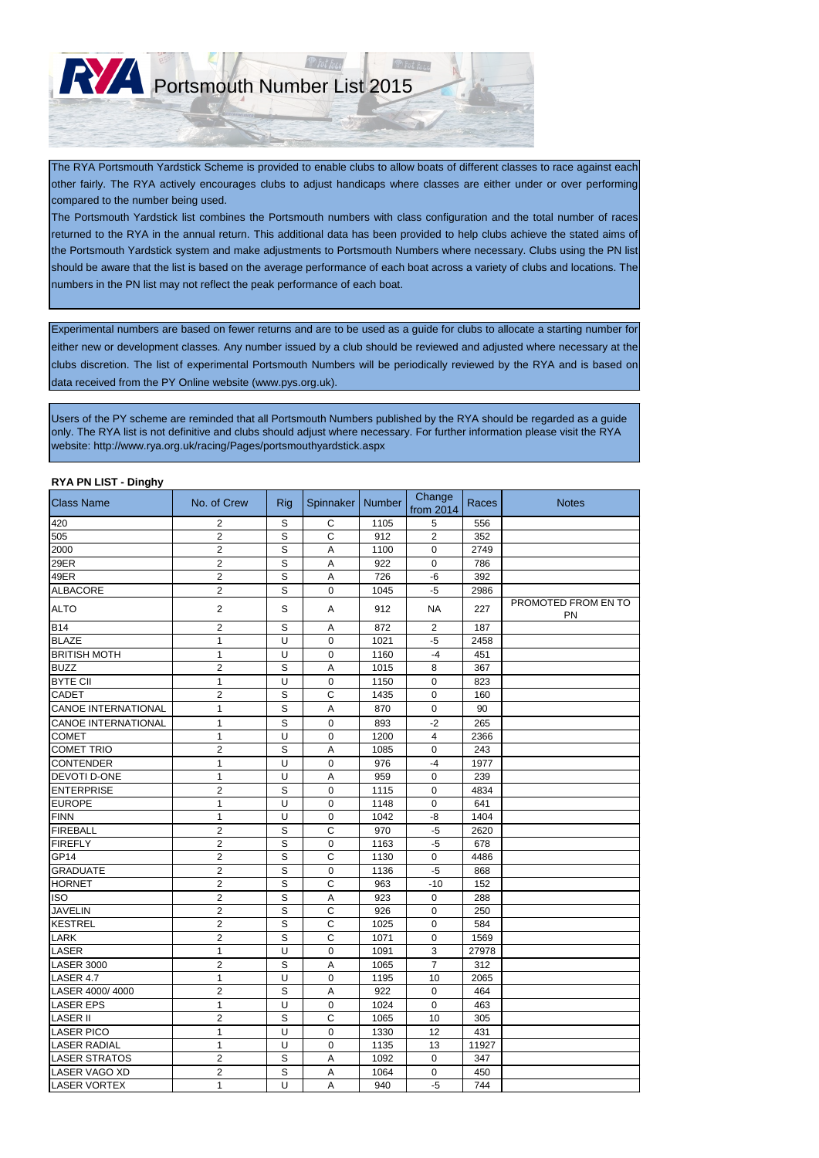#### **RYA PN LIST - Dinghy**

| עוושווט - וטום זו האז ה<br><b>Class Name</b> | No. of Crew    | <b>Rig</b>  | Spinnaker                 | <b>Number</b> | Change<br>from 2014 | Races | <b>Notes</b>                     |
|----------------------------------------------|----------------|-------------|---------------------------|---------------|---------------------|-------|----------------------------------|
| 420                                          | $\overline{c}$ | $\mathbb S$ | $\mathsf{C}$              | 1105          | 5                   | 556   |                                  |
| 505                                          | $\overline{2}$ | S           | $\mathsf{C}$              | 912           | $\overline{2}$      | 352   |                                  |
| 2000                                         | $\overline{2}$ | S           | Α                         | 1100          | 0                   | 2749  |                                  |
| 29ER                                         | $\overline{2}$ | S           | A                         | 922           | 0                   | 786   |                                  |
| 49ER                                         | $\overline{2}$ | S           | A                         | 726           | $-6$                | 392   |                                  |
| <b>ALBACORE</b>                              | $\overline{2}$ | S           | $\boldsymbol{0}$          | 1045          | $-5$                | 2986  |                                  |
| <b>ALTO</b>                                  | $\overline{2}$ | $\mathbb S$ | A                         | 912           | <b>NA</b>           | 227   | PROMOTED FROM EN TO<br><b>PN</b> |
| <b>B14</b>                                   | $\overline{2}$ | $\mathbb S$ | A                         | 872           | 2                   | 187   |                                  |
| <b>BLAZE</b>                                 | 1              | $\cup$      | $\mathbf 0$               | 1021          | $-5$                | 2458  |                                  |
| <b>BRITISH MOTH</b>                          | 1              | U           | 0                         | 1160          | $-4$                | 451   |                                  |
| <b>BUZZ</b>                                  | $\overline{2}$ | S           | A                         | 1015          | 8                   | 367   |                                  |
| <b>BYTE CII</b>                              | $\mathbf{1}$   | U           | $\boldsymbol{0}$          | 1150          | 0                   | 823   |                                  |
| <b>CADET</b>                                 | $\overline{c}$ | S           | $\mathbf C$               | 1435          | $\mathbf 0$         | 160   |                                  |
| <b>CANOE INTERNATIONAL</b>                   | 1              | $\mathbb S$ | A                         | 870           | $\mathbf 0$         | 90    |                                  |
| <b>CANOE INTERNATIONAL</b>                   | $\mathbf{1}$   | S           | $\mathbf 0$               | 893           | $-2$                | 265   |                                  |
| <b>COMET</b>                                 | 1              | U           | 0                         | 1200          | 4                   | 2366  |                                  |
| <b>COMET TRIO</b>                            | $\overline{2}$ | S           | A                         | 1085          | 0                   | 243   |                                  |
| <b>CONTENDER</b>                             | 1              | U           | $\boldsymbol{0}$          | 976           | $-4$                | 1977  |                                  |
| <b>DEVOTI D-ONE</b>                          | 1              | U           | $\boldsymbol{\mathsf{A}}$ | 959           | $\mathbf 0$         | 239   |                                  |
| <b>ENTERPRISE</b>                            | $\overline{2}$ | S           | 0                         | 1115          | 0                   | 4834  |                                  |
| <b>EUROPE</b>                                | 1              | U           | $\mathbf 0$               | 1148          | 0                   | 641   |                                  |
| FINN                                         | 1              | U           | $\boldsymbol{0}$          | 1042          | -8                  | 1404  |                                  |
| FIREBALL                                     | $\overline{2}$ | S           | $\mathsf{C}$              | 970           | $-5$                | 2620  |                                  |
| <b>FIREFLY</b>                               | $\overline{2}$ | $\mathsf S$ | $\boldsymbol{0}$          | 1163          | $-5$                | 678   |                                  |
| GP <sub>14</sub>                             | $\overline{2}$ | S           | C                         | 1130          | 0                   | 4486  |                                  |
| <b>GRADUATE</b>                              | $\overline{c}$ | S           | 0                         | 1136          | $-5$                | 868   |                                  |
| <b>HORNET</b>                                | $\overline{2}$ | S           | $\mathsf{C}$              | 963           | $-10$               | 152   |                                  |
| <b>ISO</b>                                   | $\overline{2}$ | S           | A                         | 923           | 0                   | 288   |                                  |
| <b>JAVELIN</b>                               | $\overline{2}$ | S           | $\mathsf C$               | 926           | $\mathbf 0$         | 250   |                                  |
| <b>KESTREL</b>                               | 2              | S           | C                         | 1025          | 0                   | 584   |                                  |
| <b>LARK</b>                                  | $\overline{2}$ | S           | $\mathsf C$               | 1071          | $\Omega$            | 1569  |                                  |
| <b>LASER</b>                                 | 1              | U           | $\mathbf 0$               | 1091          | 3                   | 27978 |                                  |
| LASER 3000                                   | $\overline{2}$ | S           | A                         | 1065          | $\overline{7}$      | 312   |                                  |
| LASER 4.7                                    | 1              | U           | $\mathbf 0$               | 1195          | 10                  | 2065  |                                  |
| LASER 4000/4000                              | $\overline{c}$ | S           | Α                         | 922           | 0                   | 464   |                                  |
| <b>LASER EPS</b>                             | 1              | U           | 0                         | 1024          | 0                   | 463   |                                  |
| <b>LASER II</b>                              | $\overline{2}$ | S           | $\mathsf{C}$              | 1065          | 10                  | 305   |                                  |
| <b>LASER PICO</b>                            | 1              | U           | 0                         | 1330          | 12                  | 431   |                                  |
| <b>LASER RADIAL</b>                          | 1              | U           | $\mathbf 0$               | 1135          | 13                  | 11927 |                                  |
| <b>LASER STRATOS</b>                         | $\mathbf{2}$   | S           | A                         | 1092          | $\mathbf 0$         | 347   |                                  |
| LASER VAGO XD                                | $\overline{2}$ | $\mathbb S$ | A                         | 1064          | $\mathbf 0$         | 450   |                                  |
| <b>LASER VORTEX</b>                          | $\mathbf 1$    | U           | A                         | 940           | $-5$                | 744   |                                  |

Experimental numbers are based on fewer returns and are to be used as a guide for clubs to allocate a starting number for either new or development classes. Any number issued by a club should be reviewed and adjusted where necessary at the clubs discretion. The list of experimental Portsmouth Numbers will be periodically reviewed by the RYA and is based on data received from the PY Online website (www.pys.org.uk).

The RYA Portsmouth Yardstick Scheme is provided to enable clubs to allow boats of different classes to race against each other fairly. The RYA actively encourages clubs to adjust handicaps where classes are either under or over performing compared to the number being used.

The Portsmouth Yardstick list combines the Portsmouth numbers with class configuration and the total number of races returned to the RYA in the annual return. This additional data has been provided to help clubs achieve the stated aims of the Portsmouth Yardstick system and make adjustments to Portsmouth Numbers where necessary. Clubs using the PN list should be aware that the list is based on the average performance of each boat across a variety of clubs and locations. The numbers in the PN list may not reflect the peak performance of each boat.

Users of the PY scheme are reminded that all Portsmouth Numbers published by the RYA should be regarded as a guide only. The RYA list is not definitive and clubs should adjust where necessary. For further information please visit the RYA website: http://www.rya.org.uk/racing/Pages/portsmouthyardstick.aspx

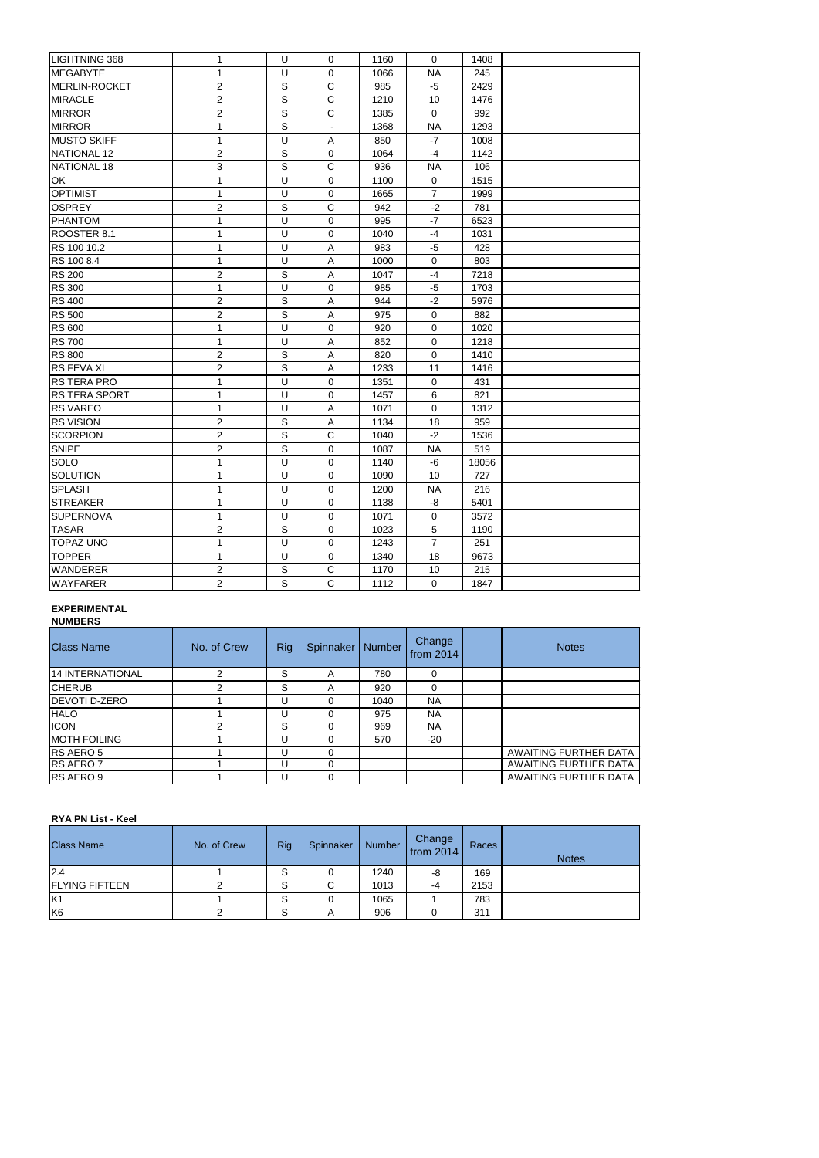| <b>LIGHTNING 368</b> | 1              | U            | 0                         | 1160 | $\mathbf{0}$   | 1408  |  |
|----------------------|----------------|--------------|---------------------------|------|----------------|-------|--|
| <b>MEGABYTE</b>      | 1              | U            | 0                         | 1066 | <b>NA</b>      | 245   |  |
| MERLIN-ROCKET        | $\overline{2}$ | $\mathsf S$  | $\mathbf C$               | 985  | $-5$           | 2429  |  |
| <b>MIRACLE</b>       | $\overline{2}$ | $\mathsf{S}$ | $\mathsf C$               | 1210 | 10             | 1476  |  |
| <b>MIRROR</b>        | $\overline{c}$ | $\mathsf S$  | $\mathsf C$               | 1385 | 0              | 992   |  |
| <b>MIRROR</b>        | 1              | $\mathsf S$  | $\overline{\phantom{a}}$  | 1368 | <b>NA</b>      | 1293  |  |
| <b>MUSTO SKIFF</b>   | 1              | U            | A                         | 850  | $-7$           | 1008  |  |
| NATIONAL 12          | $\overline{2}$ | $\mathsf S$  | $\pmb{0}$                 | 1064 | $-4$           | 1142  |  |
| NATIONAL 18          | 3              | S            | $\mathbf C$               | 936  | <b>NA</b>      | 106   |  |
| OK                   | $\mathbf{1}$   | $\cup$       | 0                         | 1100 | $\mathbf 0$    | 1515  |  |
| <b>OPTIMIST</b>      | 1              | U            | $\pmb{0}$                 | 1665 | $\overline{7}$ | 1999  |  |
| <b>OSPREY</b>        | $\overline{2}$ | $\mathsf S$  | $\mathsf{C}$              | 942  | $-2$           | 781   |  |
| <b>PHANTOM</b>       | $\mathbf{1}$   | U            | 0                         | 995  | $-7$           | 6523  |  |
| ROOSTER 8.1          | 1              | U            | 0                         | 1040 | $-4$           | 1031  |  |
| RS 100 10.2          | 1              | U            | A                         | 983  | $-5$           | 428   |  |
| RS 100 8.4           | 1              | U            | A                         | 1000 | $\mathbf 0$    | 803   |  |
| <b>RS 200</b>        | $\overline{c}$ | $\mathsf S$  | A                         | 1047 | $-4$           | 7218  |  |
| <b>RS 300</b>        | 1              | $\cup$       | $\pmb{0}$                 | 985  | $-5$           | 1703  |  |
| <b>RS 400</b>        | $\overline{2}$ | $\mathsf S$  | A                         | 944  | $-2$           | 5976  |  |
| <b>RS 500</b>        | $\overline{c}$ | $\mathsf S$  | $\boldsymbol{\mathsf{A}}$ | 975  | $\mathbf 0$    | 882   |  |
| <b>RS 600</b>        | 1              | U            | 0                         | 920  | $\mathbf 0$    | 1020  |  |
| <b>RS 700</b>        | 1              | U            | A                         | 852  | 0              | 1218  |  |
| <b>RS 800</b>        | $\overline{2}$ | $\mathsf S$  | A                         | 820  | $\mathbf{0}$   | 1410  |  |
| <b>RS FEVA XL</b>    | $\overline{2}$ | $\mathsf{S}$ | A                         | 1233 | 11             | 1416  |  |
| <b>RS TERA PRO</b>   | 1              | U            | $\mathbf 0$               | 1351 | $\mathbf 0$    | 431   |  |
| RS TERA SPORT        | 1              | U            | 0                         | 1457 | 6              | 821   |  |
| <b>RS VAREO</b>      | 1              | U            | $\overline{A}$            | 1071 | $\mathbf 0$    | 1312  |  |
| <b>RS VISION</b>     | $\overline{2}$ | $\mathsf S$  | A                         | 1134 | 18             | 959   |  |
| SCORPION             | $\overline{2}$ | S            | $\mathsf{C}$              | 1040 | $-2$           | 1536  |  |
| <b>SNIPE</b>         | $\overline{c}$ | $\mathsf S$  | 0                         | 1087 | <b>NA</b>      | 519   |  |
| <b>SOLO</b>          | 1              | U            | $\pmb{0}$                 | 1140 | $-6$           | 18056 |  |
| SOLUTION             | 1              | U            | 0                         | 1090 | 10             | 727   |  |
| <b>SPLASH</b>        | $\mathbf{1}$   | U            | 0                         | 1200 | $\sf NA$       | 216   |  |
| <b>STREAKER</b>      | 1              | U            | 0                         | 1138 | -8             | 5401  |  |
| <b>SUPERNOVA</b>     | 1              | U            | 0                         | 1071 | $\mathbf 0$    | 3572  |  |
| <b>TASAR</b>         | $\overline{2}$ | $\mathsf S$  | $\mathbf 0$               | 1023 | 5              | 1190  |  |
| <b>TOPAZ UNO</b>     | 1              | U            | 0                         | 1243 | $\overline{7}$ | 251   |  |
| <b>TOPPER</b>        | 1              | U            | $\pmb{0}$                 | 1340 | 18             | 9673  |  |
| <b>WANDERER</b>      | $\overline{2}$ | $\mathsf S$  | $\mathbf C$               | 1170 | 10             | 215   |  |
| <b>WAYFARER</b>      | $\overline{2}$ | S            | $\mathsf C$               | 1112 | $\mathbf 0$    | 1847  |  |

### **EXPERIMENTAL**

## **NUMBERS**

| <b>Class Name</b>    | No. of Crew | <b>Rig</b> | Spinnaker | <b>Number</b> | Change<br>from 2014 | <b>Notes</b>          |
|----------------------|-------------|------------|-----------|---------------|---------------------|-----------------------|
| 14 INTERNATIONAL     | ⌒           | S          | A         | 780           | $\Omega$            |                       |
| <b>CHERUB</b>        | ⌒           | S          | A         | 920           | $\Omega$            |                       |
| <b>DEVOTI D-ZERO</b> |             |            | ∩         | 1040          | <b>NA</b>           |                       |
| <b>HALO</b>          |             |            |           | 975           | <b>NA</b>           |                       |
| <b>ICON</b>          | ົ           | S          | 0         | 969           | <b>NA</b>           |                       |
| <b>MOTH FOILING</b>  |             |            | 0         | 570           | $-20$               |                       |
| RS AERO 5            |             |            | 0         |               |                     | AWAITING FURTHER DATA |
| <b>RS AERO 7</b>     |             |            | 0         |               |                     | AWAITING FURTHER DATA |
| RS AERO 9            |             |            | 0         |               |                     | AWAITING FURTHER DATA |

# **RYA PN List - Keel**

| <b>Class Name</b>     | No. of Crew | <b>Rig</b>              | Spinnaker |      | Number Change | Races | <b>Notes</b> |
|-----------------------|-------------|-------------------------|-----------|------|---------------|-------|--------------|
| 2.4                   |             | ິ<br>ت                  |           | 1240 | -8            | 169   |              |
| <b>FLYING FIFTEEN</b> |             | $\mathbf{\hat{c}}$<br>◡ |           | 1013 | -4            | 2153  |              |
| K <sub>1</sub>        |             | $\mathbf{C}$<br>ت       |           | 1065 |               | 783   |              |
| K <sub>6</sub>        |             | ົ<br>ت                  | A         | 906  |               | 311   |              |